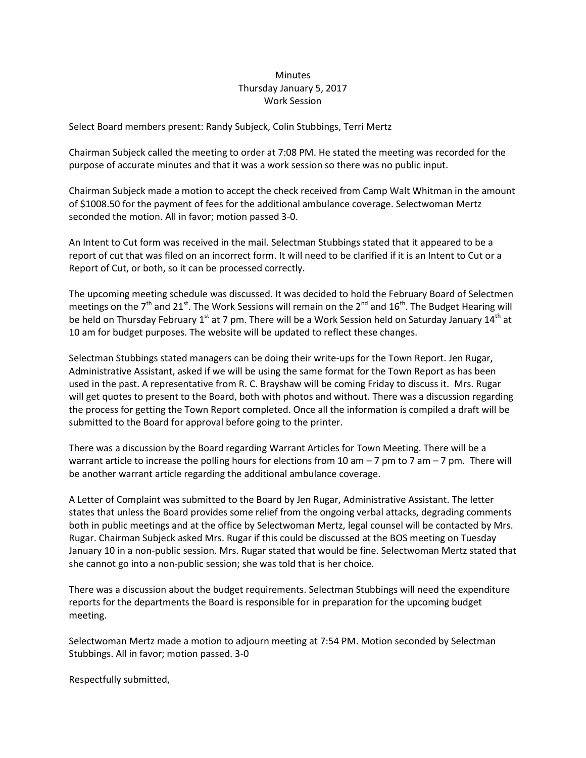## **Minutes** Thursday January 5, 2017 Work Session

Select Board members present: Randy Subjeck, Colin Stubbings, Terri Mertz

Chairman Subjeck called the meeting to order at 7:08 PM. He stated the meeting was recorded for the purpose of accurate minutes and that it was a work session so there was no public input.

Chairman Subjeck made a motion to accept the check received from Camp Walt Whitman in the amount of \$1008.50 for the payment of fees for the additional ambulance coverage. Selectwoman Mertz seconded the motion. All in favor; motion passed 3-0.

An Intent to Cut form was received in the mail. Selectman Stubbings stated that it appeared to be a report of cut that was filed on an incorrect form. It will need to be clarified if it is an Intent to Cut or a Report of Cut, or both, so it can be processed correctly.

The upcoming meeting schedule was discussed. It was decided to hold the February Board of Selectmen meetings on the 7<sup>th</sup> and 21<sup>st</sup>. The Work Sessions will remain on the 2<sup>nd</sup> and 16<sup>th</sup>. The Budget Hearing will be held on Thursday February 1st at 7 pm. There will be a Work Session held on Saturday January 14<sup>th</sup> at 10 am for budget purposes. The website will be updated to reflect these changes.

Selectman Stubbings stated managers can be doing their write-ups for the Town Report. Jen Rugar, Administrative Assistant, asked if we will be using the same format for the Town Report as has been used in the past. A representative from R. C. Brayshaw will be coming Friday to discuss it. Mrs. Rugar will get quotes to present to the Board, both with photos and without. There was a discussion regarding the process for getting the Town Report completed. Once all the information is compiled a draft will be submitted to the Board for approval before going to the printer.

There was a discussion by the Board regarding Warrant Articles for Town Meeting. There will be a warrant article to increase the polling hours for elections from 10 am - 7 pm to 7 am - 7 pm. There will be another warrant article regarding the additional ambulance coverage.

A Letter of Complaint was submitted to the Board by Jen Rugar, Administrative Assistant. The letter states that unless the Board provides some relief from the ongoing verbal attacks, degrading comments both in public meetings and at the office by Selectwoman Mertz, legal counsel will be contacted by Mrs. Rugar. Chairman Subjeck asked Mrs. Rugar if this could be discussed at the BOS meeting on Tuesday January 10 in a non-public session. Mrs. Rugar stated that would be fine. Selectwoman Mertz stated that she cannot go into a non-public session; she was told that is her choice.

There was a discussion about the budget requirements. Selectman Stubbings will need the expenditure reports for the departments the Board is responsible for in preparation for the upcoming budget meeting.

Selectwoman Mertz made a motion to adjourn meeting at 7:54 PM. Motion seconded by Selectman Stubbings. All in favor; motion passed. 3-0

Respectfully submitted,